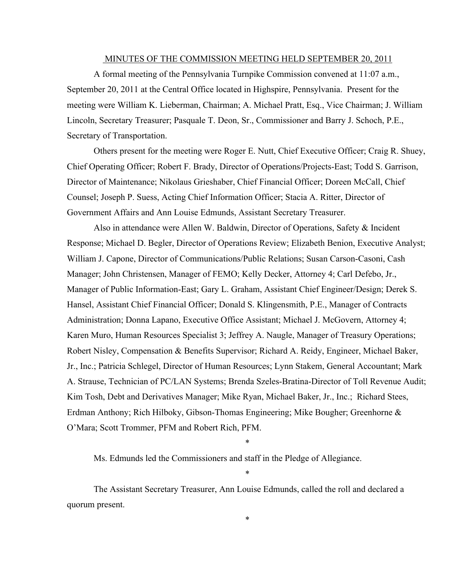#### MINUTES OF THE COMMISSION MEETING HELD SEPTEMBER 20, 2011

A formal meeting of the Pennsylvania Turnpike Commission convened at 11:07 a.m., September 20, 2011 at the Central Office located in Highspire, Pennsylvania. Present for the meeting were William K. Lieberman, Chairman; A. Michael Pratt, Esq., Vice Chairman; J. William Lincoln, Secretary Treasurer; Pasquale T. Deon, Sr., Commissioner and Barry J. Schoch, P.E., Secretary of Transportation.

Others present for the meeting were Roger E. Nutt, Chief Executive Officer; Craig R. Shuey, Chief Operating Officer; Robert F. Brady, Director of Operations/Projects-East; Todd S. Garrison, Director of Maintenance; Nikolaus Grieshaber, Chief Financial Officer; Doreen McCall, Chief Counsel; Joseph P. Suess, Acting Chief Information Officer; Stacia A. Ritter, Director of Government Affairs and Ann Louise Edmunds, Assistant Secretary Treasurer.

Also in attendance were Allen W. Baldwin, Director of Operations, Safety & Incident Response; Michael D. Begler, Director of Operations Review; Elizabeth Benion, Executive Analyst; William J. Capone, Director of Communications/Public Relations; Susan Carson-Casoni, Cash Manager; John Christensen, Manager of FEMO; Kelly Decker, Attorney 4; Carl Defebo, Jr., Manager of Public Information-East; Gary L. Graham, Assistant Chief Engineer/Design; Derek S. Hansel, Assistant Chief Financial Officer; Donald S. Klingensmith, P.E., Manager of Contracts Administration; Donna Lapano, Executive Office Assistant; Michael J. McGovern, Attorney 4; Karen Muro, Human Resources Specialist 3; Jeffrey A. Naugle, Manager of Treasury Operations; Robert Nisley, Compensation & Benefits Supervisor; Richard A. Reidy, Engineer, Michael Baker, Jr., Inc.; Patricia Schlegel, Director of Human Resources; Lynn Stakem, General Accountant; Mark A. Strause, Technician of PC/LAN Systems; Brenda Szeles-Bratina-Director of Toll Revenue Audit; Kim Tosh, Debt and Derivatives Manager; Mike Ryan, Michael Baker, Jr., Inc.; Richard Stees, Erdman Anthony; Rich Hilboky, Gibson-Thomas Engineering; Mike Bougher; Greenhorne & O'Mara; Scott Trommer, PFM and Robert Rich, PFM.

Ms. Edmunds led the Commissioners and staff in the Pledge of Allegiance.

The Assistant Secretary Treasurer, Ann Louise Edmunds, called the roll and declared a quorum present.

\*

\*

\*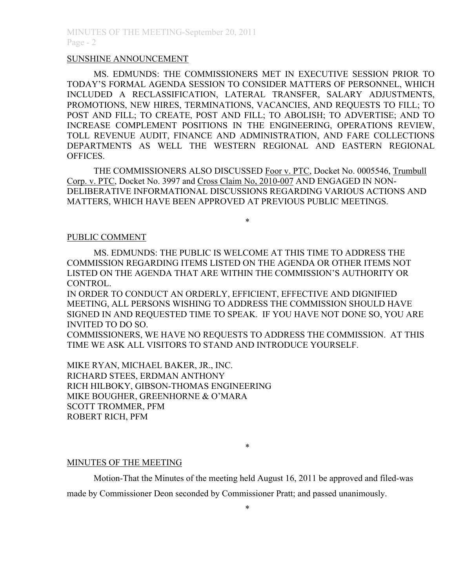#### SUNSHINE ANNOUNCEMENT

MS. EDMUNDS: THE COMMISSIONERS MET IN EXECUTIVE SESSION PRIOR TO TODAY'S FORMAL AGENDA SESSION TO CONSIDER MATTERS OF PERSONNEL, WHICH INCLUDED A RECLASSIFICATION, LATERAL TRANSFER, SALARY ADJUSTMENTS, PROMOTIONS, NEW HIRES, TERMINATIONS, VACANCIES, AND REQUESTS TO FILL; TO POST AND FILL; TO CREATE, POST AND FILL; TO ABOLISH; TO ADVERTISE; AND TO INCREASE COMPLEMENT POSITIONS IN THE ENGINEERING, OPERATIONS REVIEW, TOLL REVENUE AUDIT, FINANCE AND ADMINISTRATION, AND FARE COLLECTIONS DEPARTMENTS AS WELL THE WESTERN REGIONAL AND EASTERN REGIONAL OFFICES.

THE COMMISSIONERS ALSO DISCUSSED Foor v. PTC, Docket No. 0005546, Trumbull Corp. v. PTC, Docket No. 3997 and Cross Claim No, 2010-007 AND ENGAGED IN NON-DELIBERATIVE INFORMATIONAL DISCUSSIONS REGARDING VARIOUS ACTIONS AND MATTERS, WHICH HAVE BEEN APPROVED AT PREVIOUS PUBLIC MEETINGS.

\*

#### PUBLIC COMMENT

MS. EDMUNDS: THE PUBLIC IS WELCOME AT THIS TIME TO ADDRESS THE COMMISSION REGARDING ITEMS LISTED ON THE AGENDA OR OTHER ITEMS NOT LISTED ON THE AGENDA THAT ARE WITHIN THE COMMISSION'S AUTHORITY OR CONTROL.

IN ORDER TO CONDUCT AN ORDERLY, EFFICIENT, EFFECTIVE AND DIGNIFIED MEETING, ALL PERSONS WISHING TO ADDRESS THE COMMISSION SHOULD HAVE SIGNED IN AND REQUESTED TIME TO SPEAK. IF YOU HAVE NOT DONE SO, YOU ARE INVITED TO DO SO.

COMMISSIONERS, WE HAVE NO REQUESTS TO ADDRESS THE COMMISSION. AT THIS TIME WE ASK ALL VISITORS TO STAND AND INTRODUCE YOURSELF.

MIKE RYAN, MICHAEL BAKER, JR., INC. RICHARD STEES, ERDMAN ANTHONY RICH HILBOKY, GIBSON-THOMAS ENGINEERING MIKE BOUGHER, GREENHORNE & O'MARA SCOTT TROMMER, PFM ROBERT RICH, PFM

\*

#### MINUTES OF THE MEETING

Motion-That the Minutes of the meeting held August 16, 2011 be approved and filed-was

made by Commissioner Deon seconded by Commissioner Pratt; and passed unanimously.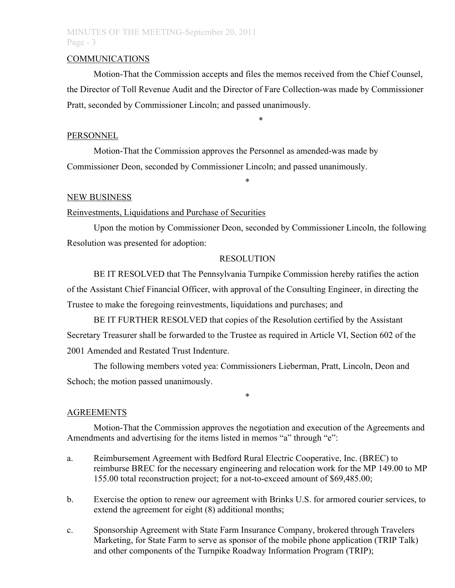# MINUTES OF THE MEETING-September 20, 2011 Page - 3

#### COMMUNICATIONS

Motion-That the Commission accepts and files the memos received from the Chief Counsel, the Director of Toll Revenue Audit and the Director of Fare Collection-was made by Commissioner Pratt, seconded by Commissioner Lincoln; and passed unanimously.

\*

#### PERSONNEL

Motion-That the Commission approves the Personnel as amended-was made by Commissioner Deon, seconded by Commissioner Lincoln; and passed unanimously.

# NEW BUSINESS

### Reinvestments, Liquidations and Purchase of Securities

Upon the motion by Commissioner Deon, seconded by Commissioner Lincoln, the following Resolution was presented for adoption:

\*

#### RESOLUTION

BE IT RESOLVED that The Pennsylvania Turnpike Commission hereby ratifies the action of the Assistant Chief Financial Officer, with approval of the Consulting Engineer, in directing the Trustee to make the foregoing reinvestments, liquidations and purchases; and

BE IT FURTHER RESOLVED that copies of the Resolution certified by the Assistant Secretary Treasurer shall be forwarded to the Trustee as required in Article VI, Section 602 of the 2001 Amended and Restated Trust Indenture.

The following members voted yea: Commissioners Lieberman, Pratt, Lincoln, Deon and Schoch; the motion passed unanimously.

### AGREEMENTS

Motion-That the Commission approves the negotiation and execution of the Agreements and Amendments and advertising for the items listed in memos "a" through "e":

\*

- a. Reimbursement Agreement with Bedford Rural Electric Cooperative, Inc. (BREC) to reimburse BREC for the necessary engineering and relocation work for the MP 149.00 to MP 155.00 total reconstruction project; for a not-to-exceed amount of \$69,485.00;
- b. Exercise the option to renew our agreement with Brinks U.S. for armored courier services, to extend the agreement for eight (8) additional months;
- c. Sponsorship Agreement with State Farm Insurance Company, brokered through Travelers Marketing, for State Farm to serve as sponsor of the mobile phone application (TRIP Talk) and other components of the Turnpike Roadway Information Program (TRIP);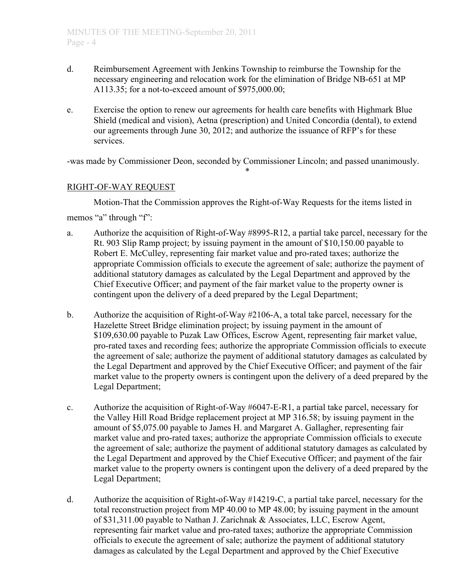- d. Reimbursement Agreement with Jenkins Township to reimburse the Township for the necessary engineering and relocation work for the elimination of Bridge NB-651 at MP A113.35; for a not-to-exceed amount of \$975,000.00;
- e. Exercise the option to renew our agreements for health care benefits with Highmark Blue Shield (medical and vision), Aetna (prescription) and United Concordia (dental), to extend our agreements through June 30, 2012; and authorize the issuance of RFP's for these services.

-was made by Commissioner Deon, seconded by Commissioner Lincoln; and passed unanimously. \*

# RIGHT-OF-WAY REQUEST

Motion-That the Commission approves the Right-of-Way Requests for the items listed in

memos "a" through "f":

- a. Authorize the acquisition of Right-of-Way #8995-R12, a partial take parcel, necessary for the Rt. 903 Slip Ramp project; by issuing payment in the amount of \$10,150.00 payable to Robert E. McCulley, representing fair market value and pro-rated taxes; authorize the appropriate Commission officials to execute the agreement of sale; authorize the payment of additional statutory damages as calculated by the Legal Department and approved by the Chief Executive Officer; and payment of the fair market value to the property owner is contingent upon the delivery of a deed prepared by the Legal Department;
- b. Authorize the acquisition of Right-of-Way #2106-A, a total take parcel, necessary for the Hazelette Street Bridge elimination project; by issuing payment in the amount of \$109,630.00 payable to Puzak Law Offices, Escrow Agent, representing fair market value, pro-rated taxes and recording fees; authorize the appropriate Commission officials to execute the agreement of sale; authorize the payment of additional statutory damages as calculated by the Legal Department and approved by the Chief Executive Officer; and payment of the fair market value to the property owners is contingent upon the delivery of a deed prepared by the Legal Department;
- c. Authorize the acquisition of Right-of-Way #6047-E-R1, a partial take parcel, necessary for the Valley Hill Road Bridge replacement project at MP 316.58; by issuing payment in the amount of \$5,075.00 payable to James H. and Margaret A. Gallagher, representing fair market value and pro-rated taxes; authorize the appropriate Commission officials to execute the agreement of sale; authorize the payment of additional statutory damages as calculated by the Legal Department and approved by the Chief Executive Officer; and payment of the fair market value to the property owners is contingent upon the delivery of a deed prepared by the Legal Department;
- d. Authorize the acquisition of Right-of-Way #14219-C, a partial take parcel, necessary for the total reconstruction project from MP 40.00 to MP 48.00; by issuing payment in the amount of \$31,311.00 payable to Nathan J. Zarichnak & Associates, LLC, Escrow Agent, representing fair market value and pro-rated taxes; authorize the appropriate Commission officials to execute the agreement of sale; authorize the payment of additional statutory damages as calculated by the Legal Department and approved by the Chief Executive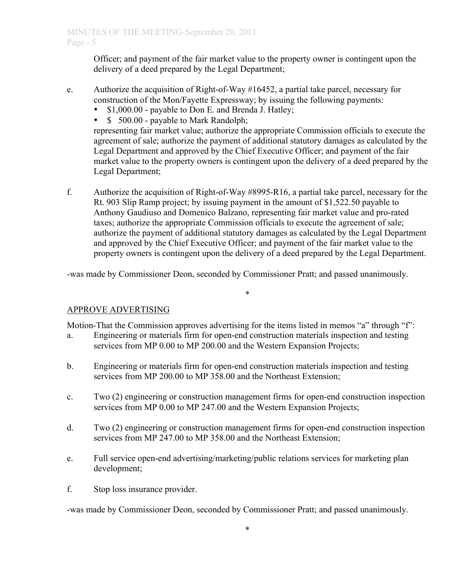Officer; and payment of the fair market value to the property owner is contingent upon the delivery of a deed prepared by the Legal Department;

- e. Authorize the acquisition of Right-of-Way #16452, a partial take parcel, necessary for construction of the Mon/Fayette Expressway; by issuing the following payments:
	- \$1,000.00 payable to Don E. and Brenda J. Hatley;<br>• \$ 500.00 payable to Mark Randolph:
	- \$ 500.00 payable to Mark Randolph;

representing fair market value; authorize the appropriate Commission officials to execute the agreement of sale; authorize the payment of additional statutory damages as calculated by the Legal Department and approved by the Chief Executive Officer; and payment of the fair market value to the property owners is contingent upon the delivery of a deed prepared by the Legal Department;

f. Authorize the acquisition of Right-of-Way #8995-R16, a partial take parcel, necessary for the Rt. 903 Slip Ramp project; by issuing payment in the amount of \$1,522.50 payable to Anthony Gaudiuso and Domenico Balzano, representing fair market value and pro-rated taxes; authorize the appropriate Commission officials to execute the agreement of sale; authorize the payment of additional statutory damages as calculated by the Legal Department and approved by the Chief Executive Officer; and payment of the fair market value to the property owners is contingent upon the delivery of a deed prepared by the Legal Department.

-was made by Commissioner Deon, seconded by Commissioner Pratt; and passed unanimously.

# APPROVE ADVERTISING

Motion-That the Commission approves advertising for the items listed in memos "a" through "f":

\*

- a. Engineering or materials firm for open-end construction materials inspection and testing services from MP 0.00 to MP 200.00 and the Western Expansion Projects;
- b. Engineering or materials firm for open-end construction materials inspection and testing services from MP 200.00 to MP 358.00 and the Northeast Extension;
- c. Two (2) engineering or construction management firms for open-end construction inspection services from MP 0.00 to MP 247.00 and the Western Expansion Projects;
- d. Two (2) engineering or construction management firms for open-end construction inspection services from MP 247.00 to MP 358.00 and the Northeast Extension;
- e. Full service open-end advertising/marketing/public relations services for marketing plan development;
- f. Stop loss insurance provider.

-was made by Commissioner Deon, seconded by Commissioner Pratt; and passed unanimously.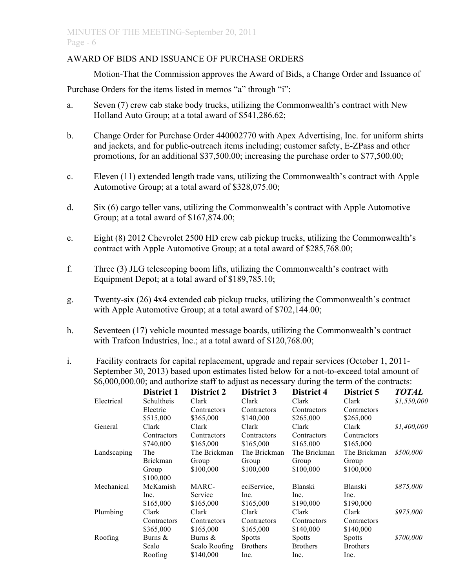## AWARD OF BIDS AND ISSUANCE OF PURCHASE ORDERS

Motion-That the Commission approves the Award of Bids, a Change Order and Issuance of

Purchase Orders for the items listed in memos "a" through "i":

- a. Seven (7) crew cab stake body trucks, utilizing the Commonwealth's contract with New Holland Auto Group; at a total award of \$541,286.62;
- b. Change Order for Purchase Order 440002770 with Apex Advertising, Inc. for uniform shirts and jackets, and for public-outreach items including; customer safety, E-ZPass and other promotions, for an additional \$37,500.00; increasing the purchase order to \$77,500.00;
- c. Eleven (11) extended length trade vans, utilizing the Commonwealth's contract with Apple Automotive Group; at a total award of \$328,075.00;
- d. Six (6) cargo teller vans, utilizing the Commonwealth's contract with Apple Automotive Group; at a total award of \$167,874.00;
- e. Eight (8) 2012 Chevrolet 2500 HD crew cab pickup trucks, utilizing the Commonwealth's contract with Apple Automotive Group; at a total award of \$285,768.00;
- f. Three (3) JLG telescoping boom lifts, utilizing the Commonwealth's contract with Equipment Depot; at a total award of \$189,785.10;
- g. Twenty-six (26) 4x4 extended cab pickup trucks, utilizing the Commonwealth's contract with Apple Automotive Group; at a total award of \$702,144.00;
- h. Seventeen (17) vehicle mounted message boards, utilizing the Commonwealth's contract with Trafcon Industries, Inc.; at a total award of \$120,768.00;
- i. Facility contracts for capital replacement, upgrade and repair services (October 1, 2011- September 30, 2013) based upon estimates listed below for a not-to-exceed total amount of \$6,000,000.00; and authorize staff to adjust as necessary during the term of the contracts:

|             | District 1      | District 2    | District 3      | District 4      | District 5      | <b>TOTAL</b> |
|-------------|-----------------|---------------|-----------------|-----------------|-----------------|--------------|
| Electrical  | Schultheis      | Clark         | Clark           | Clark           | Clark           | \$1,550,000  |
|             | Electric        | Contractors   | Contractors     | Contractors     | Contractors     |              |
|             | \$515,000       | \$365,000     | \$140,000       | \$265,000       | \$265,000       |              |
| General     | Clark           | Clark         | Clark           | Clark           | Clark           | \$1,400,000  |
|             | Contractors     | Contractors   | Contractors     | Contractors     | Contractors     |              |
|             | \$740,000       | \$165,000     | \$165,000       | \$165,000       | \$165,000       |              |
| Landscaping | The             | The Brickman  | The Brickman    | The Brickman    | The Brickman    | \$500,000    |
|             | <b>Brickman</b> | Group         | Group           | Group           | Group           |              |
|             | Group           | \$100,000     | \$100,000       | \$100,000       | \$100,000       |              |
|             | \$100,000       |               |                 |                 |                 |              |
| Mechanical  | McKamish        | MARC-         | eciService.     | Blanski         | Blanski         | \$875,000    |
|             | Inc.            | Service       | Inc.            | Inc.            | Inc.            |              |
|             | \$165,000       | \$165,000     | \$165,000       | \$190,000       | \$190,000       |              |
| Plumbing    | Clark           | Clark         | Clark           | Clark           | Clark           | \$975,000    |
|             | Contractors     | Contractors   | Contractors     | Contractors     | Contractors     |              |
|             | \$365,000       | \$165,000     | \$165,000       | \$140,000       | \$140,000       |              |
| Roofing     | Burns $&$       | Burns $\&$    | <b>Spotts</b>   | <b>Spotts</b>   | <b>Spotts</b>   | \$700,000    |
|             | Scalo           | Scalo Roofing | <b>Brothers</b> | <b>Brothers</b> | <b>Brothers</b> |              |
|             | Roofing         | \$140,000     | Inc.            | Inc.            | Inc.            |              |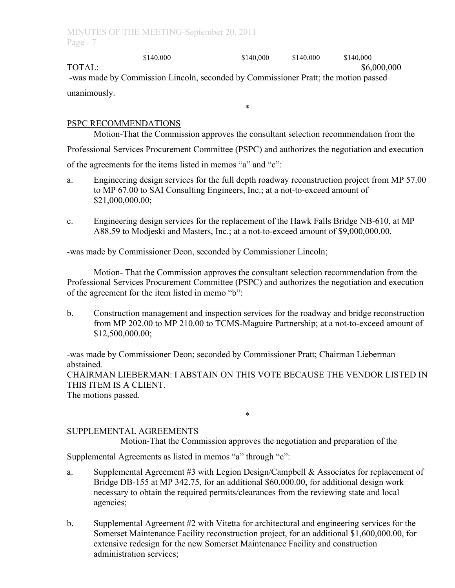\$140,000 \$140,000 \$140,000 \$140,000 TOTAL: \$6,000,000 -was made by Commission Lincoln, seconded by Commissioner Pratt; the motion passed unanimously.

## PSPC RECOMMENDATIONS

Motion-That the Commission approves the consultant selection recommendation from the Professional Services Procurement Committee (PSPC) and authorizes the negotiation and execution of the agreements for the items listed in memos "a" and "c":

\*

- a. Engineering design services for the full depth roadway reconstruction project from MP 57.00 to MP 67.00 to SAI Consulting Engineers, Inc.; at a not-to-exceed amount of \$21,000,000.00;
- c. Engineering design services for the replacement of the Hawk Falls Bridge NB-610, at MP A88.59 to Modjeski and Masters, Inc.; at a not-to-exceed amount of \$9,000,000.00.

-was made by Commissioner Deon, seconded by Commissioner Lincoln;

Motion- That the Commission approves the consultant selection recommendation from the Professional Services Procurement Committee (PSPC) and authorizes the negotiation and execution of the agreement for the item listed in memo "b":

b. Construction management and inspection services for the roadway and bridge reconstruction from MP 202.00 to MP 210.00 to TCMS-Maguire Partnership; at a not-to-exceed amount of \$12,500,000.00;

-was made by Commissioner Deon; seconded by Commissioner Pratt; Chairman Lieberman abstained.

CHAIRMAN LIEBERMAN: I ABSTAIN ON THIS VOTE BECAUSE THE VENDOR LISTED IN THIS ITEM IS A CLIENT.

\*

The motions passed.

# SUPPLEMENTAL AGREEMENTS

Motion-That the Commission approves the negotiation and preparation of the

Supplemental Agreements as listed in memos "a" through "c":

- a. Supplemental Agreement #3 with Legion Design/Campbell & Associates for replacement of Bridge DB-155 at MP 342.75, for an additional \$60,000.00, for additional design work necessary to obtain the required permits/clearances from the reviewing state and local agencies;
- b. Supplemental Agreement #2 with Vitetta for architectural and engineering services for the Somerset Maintenance Facility reconstruction project, for an additional \$1,600,000.00, for extensive redesign for the new Somerset Maintenance Facility and construction administration services;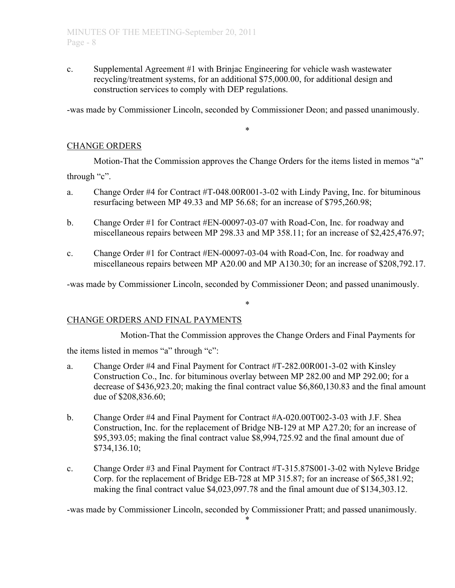c. Supplemental Agreement #1 with Brinjac Engineering for vehicle wash wastewater recycling/treatment systems, for an additional \$75,000.00, for additional design and construction services to comply with DEP regulations.

-was made by Commissioner Lincoln, seconded by Commissioner Deon; and passed unanimously.

\*

### CHANGE ORDERS

Motion-That the Commission approves the Change Orders for the items listed in memos "a" through "c".

- a. Change Order #4 for Contract #T-048.00R001-3-02 with Lindy Paving, Inc. for bituminous resurfacing between MP 49.33 and MP 56.68; for an increase of \$795,260.98;
- b. Change Order #1 for Contract #EN-00097-03-07 with Road-Con, Inc. for roadway and miscellaneous repairs between MP 298.33 and MP 358.11; for an increase of \$2,425,476.97;
- c. Change Order #1 for Contract #EN-00097-03-04 with Road-Con, Inc. for roadway and miscellaneous repairs between MP A20.00 and MP A130.30; for an increase of \$208,792.17.

-was made by Commissioner Lincoln, seconded by Commissioner Deon; and passed unanimously.

\*

### CHANGE ORDERS AND FINAL PAYMENTS

Motion-That the Commission approves the Change Orders and Final Payments for

the items listed in memos "a" through "c":

- a. Change Order #4 and Final Payment for Contract #T-282.00R001-3-02 with Kinsley Construction Co., Inc. for bituminous overlay between MP 282.00 and MP 292.00; for a decrease of \$436,923.20; making the final contract value \$6,860,130.83 and the final amount due of \$208,836.60;
- b. Change Order #4 and Final Payment for Contract #A-020.00T002-3-03 with J.F. Shea Construction, Inc. for the replacement of Bridge NB-129 at MP A27.20; for an increase of \$95,393.05; making the final contract value \$8,994,725.92 and the final amount due of \$734,136.10;
- c. Change Order #3 and Final Payment for Contract #T-315.87S001-3-02 with Nyleve Bridge Corp. for the replacement of Bridge EB-728 at MP 315.87; for an increase of \$65,381.92; making the final contract value \$4,023,097.78 and the final amount due of \$134,303.12.

-was made by Commissioner Lincoln, seconded by Commissioner Pratt; and passed unanimously.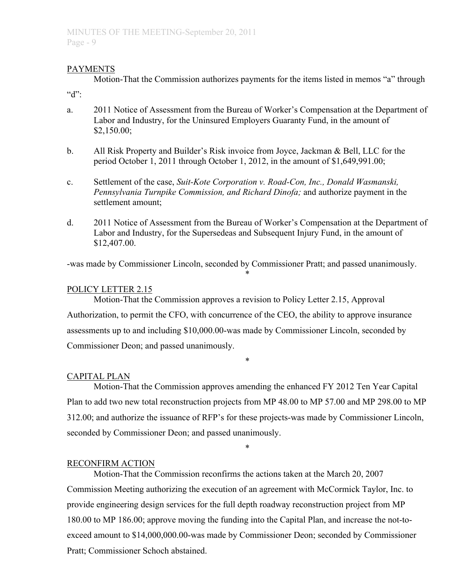## **PAYMENTS**

Motion-That the Commission authorizes payments for the items listed in memos "a" through " $d$ ":

a. 2011 Notice of Assessment from the Bureau of Worker's Compensation at the Department of Labor and Industry, for the Uninsured Employers Guaranty Fund, in the amount of \$2,150.00;

- b. All Risk Property and Builder's Risk invoice from Joyce, Jackman & Bell, LLC for the period October 1, 2011 through October 1, 2012, in the amount of \$1,649,991.00;
- c. Settlement of the case, *Suit-Kote Corporation v. Road-Con, Inc., Donald Wasmanski, Pennsylvania Turnpike Commission, and Richard Dinofa;* and authorize payment in the settlement amount;
- d. 2011 Notice of Assessment from the Bureau of Worker's Compensation at the Department of Labor and Industry, for the Supersedeas and Subsequent Injury Fund, in the amount of \$12,407.00.

-was made by Commissioner Lincoln, seconded by Commissioner Pratt; and passed unanimously.

\*

## POLICY LETTER 2.15

Motion-That the Commission approves a revision to Policy Letter 2.15, Approval Authorization, to permit the CFO, with concurrence of the CEO, the ability to approve insurance assessments up to and including \$10,000.00-was made by Commissioner Lincoln, seconded by Commissioner Deon; and passed unanimously.

# CAPITAL PLAN

Motion-That the Commission approves amending the enhanced FY 2012 Ten Year Capital Plan to add two new total reconstruction projects from MP 48.00 to MP 57.00 and MP 298.00 to MP 312.00; and authorize the issuance of RFP's for these projects-was made by Commissioner Lincoln, seconded by Commissioner Deon; and passed unanimously.

\*

\*

# RECONFIRM ACTION

Motion-That the Commission reconfirms the actions taken at the March 20, 2007 Commission Meeting authorizing the execution of an agreement with McCormick Taylor, Inc. to provide engineering design services for the full depth roadway reconstruction project from MP 180.00 to MP 186.00; approve moving the funding into the Capital Plan, and increase the not-toexceed amount to \$14,000,000.00-was made by Commissioner Deon; seconded by Commissioner Pratt; Commissioner Schoch abstained.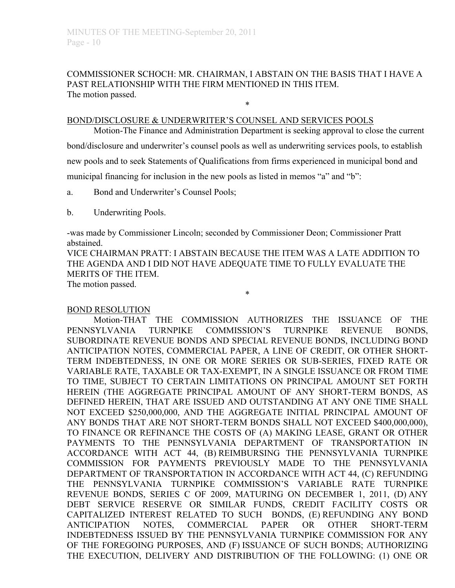## COMMISSIONER SCHOCH: MR. CHAIRMAN, I ABSTAIN ON THE BASIS THAT I HAVE A PAST RELATIONSHIP WITH THE FIRM MENTIONED IN THIS ITEM. The motion passed.

\*

## BOND/DISCLOSURE & UNDERWRITER'S COUNSEL AND SERVICES POOLS

Motion-The Finance and Administration Department is seeking approval to close the current bond/disclosure and underwriter's counsel pools as well as underwriting services pools, to establish new pools and to seek Statements of Qualifications from firms experienced in municipal bond and municipal financing for inclusion in the new pools as listed in memos "a" and "b":

- a. Bond and Underwriter's Counsel Pools;
- b. Underwriting Pools.

-was made by Commissioner Lincoln; seconded by Commissioner Deon; Commissioner Pratt abstained.

VICE CHAIRMAN PRATT: I ABSTAIN BECAUSE THE ITEM WAS A LATE ADDITION TO THE AGENDA AND I DID NOT HAVE ADEQUATE TIME TO FULLY EVALUATE THE MERITS OF THE ITEM.

\*

The motion passed.

### BOND RESOLUTION

Motion-THAT THE COMMISSION AUTHORIZES THE ISSUANCE OF THE PENNSYLVANIA TURNPIKE COMMISSION'S TURNPIKE REVENUE BONDS, SUBORDINATE REVENUE BONDS AND SPECIAL REVENUE BONDS, INCLUDING BOND ANTICIPATION NOTES, COMMERCIAL PAPER, A LINE OF CREDIT, OR OTHER SHORT-TERM INDEBTEDNESS, IN ONE OR MORE SERIES OR SUB-SERIES, FIXED RATE OR VARIABLE RATE, TAXABLE OR TAX-EXEMPT, IN A SINGLE ISSUANCE OR FROM TIME TO TIME, SUBJECT TO CERTAIN LIMITATIONS ON PRINCIPAL AMOUNT SET FORTH HEREIN (THE AGGREGATE PRINCIPAL AMOUNT OF ANY SHORT-TERM BONDS, AS DEFINED HEREIN, THAT ARE ISSUED AND OUTSTANDING AT ANY ONE TIME SHALL NOT EXCEED \$250,000,000, AND THE AGGREGATE INITIAL PRINCIPAL AMOUNT OF ANY BONDS THAT ARE NOT SHORT-TERM BONDS SHALL NOT EXCEED \$400,000,000), TO FINANCE OR REFINANCE THE COSTS OF (A) MAKING LEASE, GRANT OR OTHER PAYMENTS TO THE PENNSYLVANIA DEPARTMENT OF TRANSPORTATION IN ACCORDANCE WITH ACT 44, (B) REIMBURSING THE PENNSYLVANIA TURNPIKE COMMISSION FOR PAYMENTS PREVIOUSLY MADE TO THE PENNSYLVANIA DEPARTMENT OF TRANSPORTATION IN ACCORDANCE WITH ACT 44, (C) REFUNDING THE PENNSYLVANIA TURNPIKE COMMISSION'S VARIABLE RATE TURNPIKE REVENUE BONDS, SERIES C OF 2009, MATURING ON DECEMBER 1, 2011, (D) ANY DEBT SERVICE RESERVE OR SIMILAR FUNDS, CREDIT FACILITY COSTS OR CAPITALIZED INTEREST RELATED TO SUCH BONDS, (E) REFUNDING ANY BOND ANTICIPATION NOTES, COMMERCIAL PAPER OR OTHER SHORT-TERM INDEBTEDNESS ISSUED BY THE PENNSYLVANIA TURNPIKE COMMISSION FOR ANY OF THE FOREGOING PURPOSES, AND (F) ISSUANCE OF SUCH BONDS; AUTHORIZING THE EXECUTION, DELIVERY AND DISTRIBUTION OF THE FOLLOWING: (1) ONE OR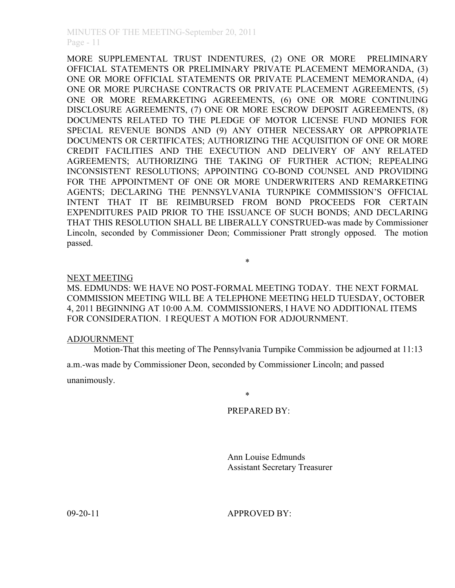MORE SUPPLEMENTAL TRUST INDENTURES, (2) ONE OR MORE PRELIMINARY OFFICIAL STATEMENTS OR PRELIMINARY PRIVATE PLACEMENT MEMORANDA, (3) ONE OR MORE OFFICIAL STATEMENTS OR PRIVATE PLACEMENT MEMORANDA, (4) ONE OR MORE PURCHASE CONTRACTS OR PRIVATE PLACEMENT AGREEMENTS, (5) ONE OR MORE REMARKETING AGREEMENTS, (6) ONE OR MORE CONTINUING DISCLOSURE AGREEMENTS, (7) ONE OR MORE ESCROW DEPOSIT AGREEMENTS, (8) DOCUMENTS RELATED TO THE PLEDGE OF MOTOR LICENSE FUND MONIES FOR SPECIAL REVENUE BONDS AND (9) ANY OTHER NECESSARY OR APPROPRIATE DOCUMENTS OR CERTIFICATES; AUTHORIZING THE ACQUISITION OF ONE OR MORE CREDIT FACILITIES AND THE EXECUTION AND DELIVERY OF ANY RELATED AGREEMENTS; AUTHORIZING THE TAKING OF FURTHER ACTION; REPEALING INCONSISTENT RESOLUTIONS; APPOINTING CO-BOND COUNSEL AND PROVIDING FOR THE APPOINTMENT OF ONE OR MORE UNDERWRITERS AND REMARKETING AGENTS; DECLARING THE PENNSYLVANIA TURNPIKE COMMISSION'S OFFICIAL INTENT THAT IT BE REIMBURSED FROM BOND PROCEEDS FOR CERTAIN EXPENDITURES PAID PRIOR TO THE ISSUANCE OF SUCH BONDS; AND DECLARING THAT THIS RESOLUTION SHALL BE LIBERALLY CONSTRUED-was made by Commissioner Lincoln, seconded by Commissioner Deon; Commissioner Pratt strongly opposed. The motion passed.

NEXT MEETING

MS. EDMUNDS: WE HAVE NO POST-FORMAL MEETING TODAY. THE NEXT FORMAL COMMISSION MEETING WILL BE A TELEPHONE MEETING HELD TUESDAY, OCTOBER 4, 2011 BEGINNING AT 10:00 A.M. COMMISSIONERS, I HAVE NO ADDITIONAL ITEMS FOR CONSIDERATION. I REQUEST A MOTION FOR ADJOURNMENT.

\*

#### ADJOURNMENT

Motion-That this meeting of The Pennsylvania Turnpike Commission be adjourned at 11:13

a.m.-was made by Commissioner Deon, seconded by Commissioner Lincoln; and passed

unanimously.

PREPARED BY:

\*

Ann Louise Edmunds Assistant Secretary Treasurer

09-20-11 **APPROVED BY:**